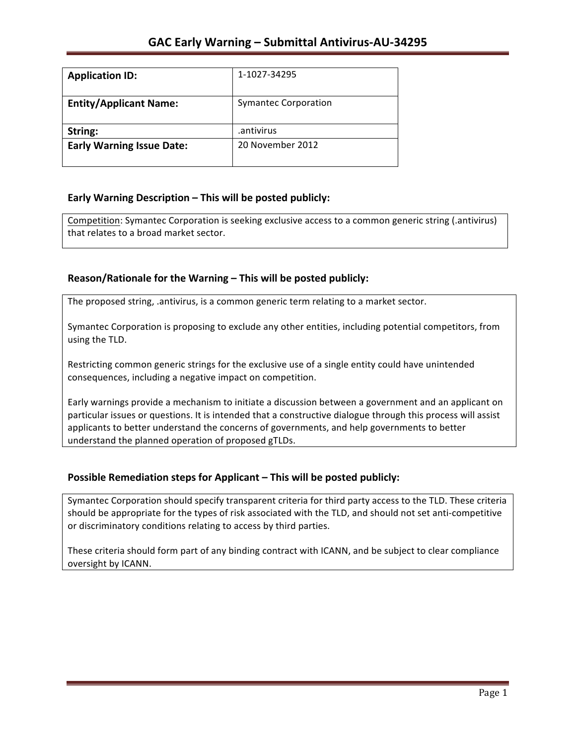| <b>Application ID:</b>           | 1-1027-34295                |
|----------------------------------|-----------------------------|
| <b>Entity/Applicant Name:</b>    | <b>Symantec Corporation</b> |
| String:                          | .antivirus                  |
| <b>Early Warning Issue Date:</b> | 20 November 2012            |
|                                  |                             |

## **Early Warning Description – This will be posted publicly:**

Competition: Symantec Corporation is seeking exclusive access to a common generic string (.antivirus) that relates to a broad market sector.

## Reason/Rationale for the Warning – This will be posted publicly:

The proposed string, .antivirus, is a common generic term relating to a market sector.

Symantec Corporation is proposing to exclude any other entities, including potential competitors, from using the TLD.

Restricting common generic strings for the exclusive use of a single entity could have unintended consequences, including a negative impact on competition.

Early warnings provide a mechanism to initiate a discussion between a government and an applicant on particular issues or questions. It is intended that a constructive dialogue through this process will assist applicants to better understand the concerns of governments, and help governments to better understand the planned operation of proposed gTLDs.

## **Possible Remediation steps for Applicant – This will be posted publicly:**

Symantec Corporation should specify transparent criteria for third party access to the TLD. These criteria should be appropriate for the types of risk associated with the TLD, and should not set anti-competitive or discriminatory conditions relating to access by third parties.

These criteria should form part of any binding contract with ICANN, and be subject to clear compliance oversight by ICANN.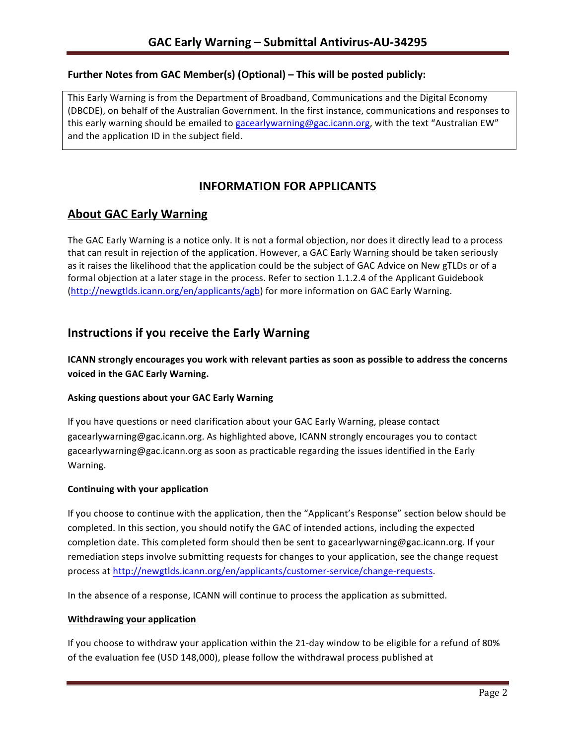## **Further Notes from GAC Member(s) (Optional) – This will be posted publicly:**

This Early Warning is from the Department of Broadband, Communications and the Digital Economy (DBCDE), on behalf of the Australian Government. In the first instance, communications and responses to this early warning should be emailed to gacearlywarning@gac.icann.org, with the text "Australian EW" and the application ID in the subject field.

# **INFORMATION FOR APPLICANTS**

## **About GAC Early Warning**

The GAC Early Warning is a notice only. It is not a formal objection, nor does it directly lead to a process that can result in rejection of the application. However, a GAC Early Warning should be taken seriously as it raises the likelihood that the application could be the subject of GAC Advice on New gTLDs or of a formal objection at a later stage in the process. Refer to section 1.1.2.4 of the Applicant Guidebook (http://newgtlds.icann.org/en/applicants/agb) for more information on GAC Early Warning.

## **Instructions if you receive the Early Warning**

**ICANN** strongly encourages you work with relevant parties as soon as possible to address the concerns **voiced in the GAC Early Warning.** 

#### **Asking questions about your GAC Early Warning**

If you have questions or need clarification about your GAC Early Warning, please contact gacearlywarning@gac.icann.org. As highlighted above, ICANN strongly encourages you to contact gacearlywarning@gac.icann.org as soon as practicable regarding the issues identified in the Early Warning. 

#### **Continuing with your application**

If you choose to continue with the application, then the "Applicant's Response" section below should be completed. In this section, you should notify the GAC of intended actions, including the expected completion date. This completed form should then be sent to gacearlywarning@gac.icann.org. If your remediation steps involve submitting requests for changes to your application, see the change request process at http://newgtlds.icann.org/en/applicants/customer-service/change-requests.

In the absence of a response, ICANN will continue to process the application as submitted.

#### **Withdrawing your application**

If you choose to withdraw your application within the 21-day window to be eligible for a refund of 80% of the evaluation fee (USD 148,000), please follow the withdrawal process published at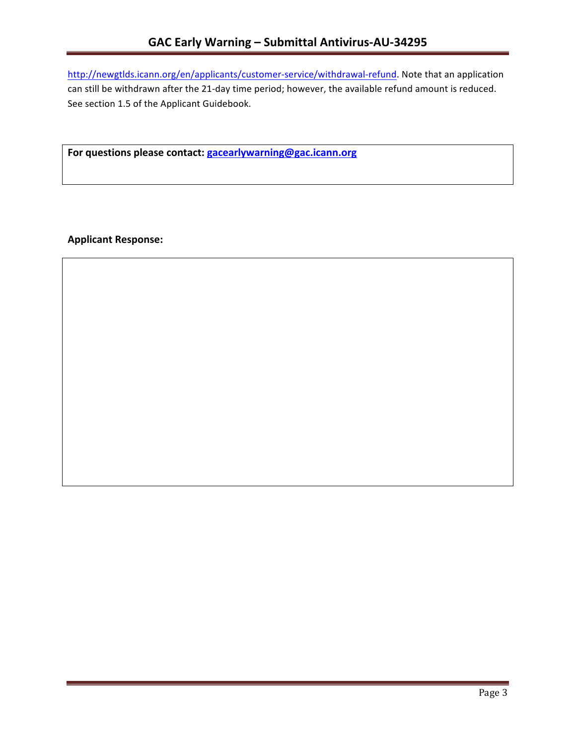http://newgtlds.icann.org/en/applicants/customer-service/withdrawal-refund. Note that an application can still be withdrawn after the 21-day time period; however, the available refund amount is reduced. See section 1.5 of the Applicant Guidebook.

For questions please contact: gacearlywarning@gac.icann.org

**Applicant Response:**